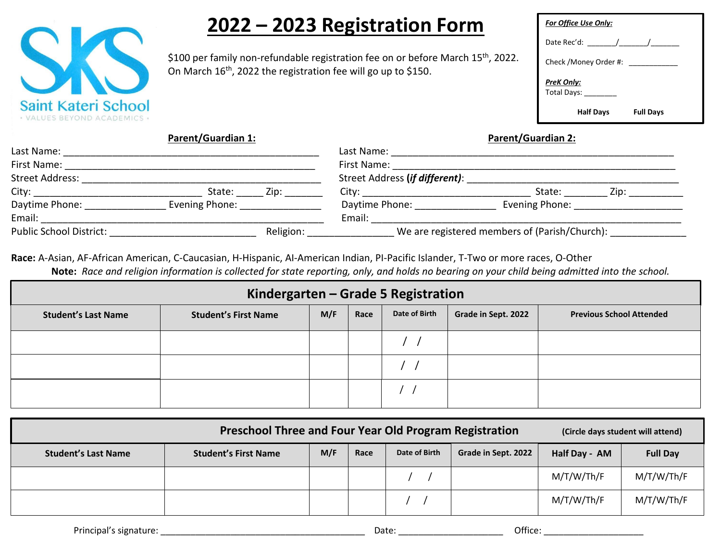

# **2022 – 2023 Registration Form**

\$100 per family non-refundable registration fee on or before March 15<sup>th</sup>, 2022. On March 16<sup>th</sup>, 2022 the registration fee will go up to \$150.

| <b>For Office Use Only:</b> |                  |  |
|-----------------------------|------------------|--|
| Date Rec'd: $\sqrt{2\pi}$   |                  |  |
| Check / Money Order #:      |                  |  |
| PreK Only:<br>Total Days:   |                  |  |
| <b>Half Days</b>            | <b>Full Days</b> |  |

**Parent/Guardian 1: Parent/Guardian 2:**

| Last Name:                     |                                 |           | Last Name:                                    |                               |      |  |
|--------------------------------|---------------------------------|-----------|-----------------------------------------------|-------------------------------|------|--|
| First Name:                    |                                 |           | First Name:                                   |                               |      |  |
| Street Address:                |                                 |           | Street Address (if different):                |                               |      |  |
| City:                          | State:                          | Zip:      | City:                                         | State:                        | Zip: |  |
| Daytime Phone:                 | Evening Phone: North Management |           | Daytime Phone:                                | Evening Phone: Evening Phone: |      |  |
| Email:                         |                                 |           | Email:                                        |                               |      |  |
| <b>Public School District:</b> |                                 | Religion: | We are registered members of (Parish/Church): |                               |      |  |

**Race:** A-Asian, AF-African American, C-Caucasian, H-Hispanic, AI-American Indian, PI-Pacific Islander, T-Two or more races, O-Other **Note:** *Race and religion information is collected for state reporting, only, and holds no bearing on your child being admitted into the school.*

| Kindergarten – Grade 5 Registration |                             |     |      |               |                     |                                 |
|-------------------------------------|-----------------------------|-----|------|---------------|---------------------|---------------------------------|
| <b>Student's Last Name</b>          | <b>Student's First Name</b> | M/F | Race | Date of Birth | Grade in Sept. 2022 | <b>Previous School Attended</b> |
|                                     |                             |     |      |               |                     |                                 |
|                                     |                             |     |      |               |                     |                                 |
|                                     |                             |     |      |               |                     |                                 |

| <b>Preschool Three and Four Year Old Program Registration</b><br>(Circle days student will attend) |                             |     |      |               |                     |               |                 |
|----------------------------------------------------------------------------------------------------|-----------------------------|-----|------|---------------|---------------------|---------------|-----------------|
| <b>Student's Last Name</b>                                                                         | <b>Student's First Name</b> | M/F | Race | Date of Birth | Grade in Sept. 2022 | Half Day - AM | <b>Full Day</b> |
|                                                                                                    |                             |     |      |               |                     | M/T/W/Th/F    | M/T/W/Th/F      |
|                                                                                                    |                             |     |      |               |                     | M/T/W/Th/F    | M/T/W/Th/F      |